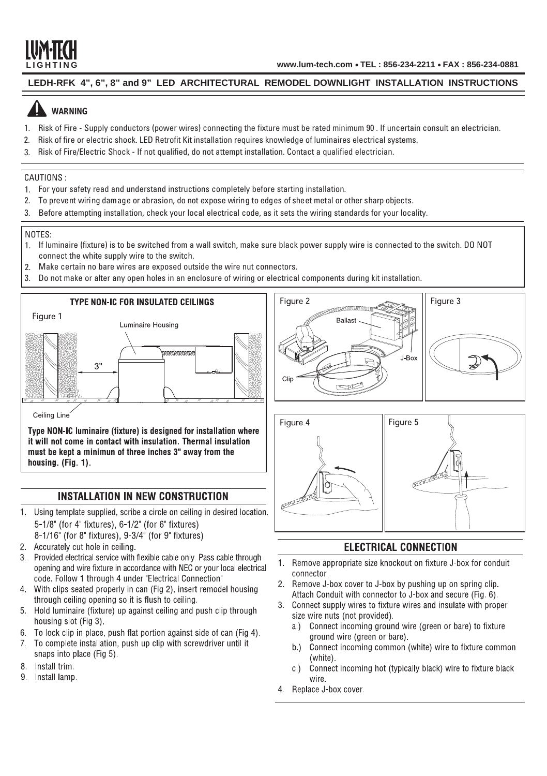

### **LEDH-RFK 4", 6", 8" and 9" LED ARCHITECTURAL REMODEL DOWNLIGHT INSTALLATION INSTRUCTIONS**

# **WARNING**

- 1. Risk of Fire Supply conductors (power wires) connecting the fixture must be rated minimum 90 . If uncertain consult an electrician.
- 2. Risk of fire or electric shock. LED Retrofit Kit installation requires knowledge of luminaires electrical systems.
- 3. Risk of Fire/Electric Shock If not qualified, do not attempt installation. Contact a qualified electrician.

### CAUTIONS :

- 1. For your safety read and understand instructions completely before starting installation.
- 2. To prevent wiring damage or abrasion, do not expose wiring to edges of sheet metal or other sharp objects.
- 3. Before attempting installation, check your local electrical code, as it sets the wiring standards for your locality.

#### NOTES:

- 1. If luminaire (fixture) is to be switched from a wall switch, make sure black power supply wire is connected to the switch. DO NOT connect the white supply wire to the switch.
- 2. Make certain no bare wires are exposed outside the wire nut connectors.
- 3. Do not make or alter any open holes in an enclosure of wiring or electrical components during kit installation.



Type NON-IC luminaire (fixture) is designed for installation where it will not come in contact with insulation. Thermal insulation must be kept a minimun of three inches 3" away from the housing. (Fig. 1).

## **INSTALLATION IN NEW CONSTRUCTION**

- 1. Using template supplied, scribe a circle on ceiling in desired location. 5-1/8" (for 4" fixtures), 6-1/2" (for 6" fixtures)
	- 8-1/16" (for 8" fixtures), 9-3/4" (for 9" fixtures)
- 2. Accurately cut hole in ceiling.
- 3. Provided electrical service with flexible cable only. Pass cable through opening and wire fixture in accordance with NEC or your local electrical code. Follow 1 through 4 under "Electrical Connection"
- 4. With clips seated properly in can (Fig 2), insert remodel housing through ceiling opening so it is flush to ceiling.
- 5. Hold luminaire (fixture) up against ceiling and push clip through housing slot (Fig 3).
- 6. To lock clip in place, push flat portion against side of can (Fig 4).
- 7. To complete installation, push up clip with screwdriver until it snaps into place (Fig 5).
- 8. Install trim.
- 9. Install lamp.





# **ELECTRICAL CONNECTION**

- Remove appropriate size knockout on fixture J-box for conduit  $1.$ connector.
- 2. Remove J-box cover to J-box by pushing up on spring clip. Attach Conduit with connector to J-box and secure (Fig. 6).
- 3. Connect supply wires to fixture wires and insulate with proper size wire nuts (not provided).
	- a.) Connect incoming ground wire (green or bare) to fixture ground wire (green or bare).
	- b.) Connect incoming common (white) wire to fixture common (white).
	- Connect incoming hot (typically black) wire to fixture black  $C$ ) wire.
- 4 Replace J-box cover.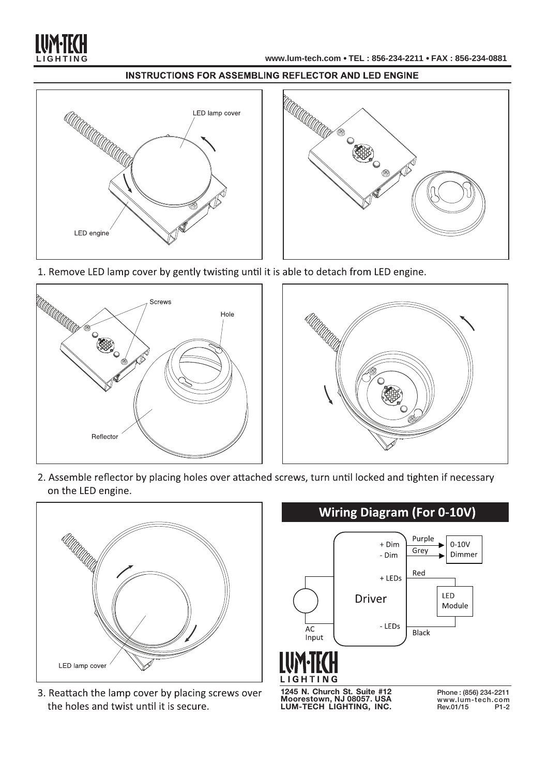

### **INSTRUCTIONS FOR ASSEMBLING REFLECTOR AND LED ENGINE**





1. Remove LED lamp cover by gently twisting until it is able to detach from LED engine.





2. Assemble reflector by placing holes over attached screws, turn until locked and tighten if necessary on the LED engine.



3. Reattach the lamp cover by placing screws over the holes and twist until it is secure.



**1245 N. Church St. Suite #12 Moorestown, NJ 08057. USA LUM-TECH LIGHTING, INC.**

Phone : (856) 234-2211 www.lum-tech.com Rev.01/15 P1-2